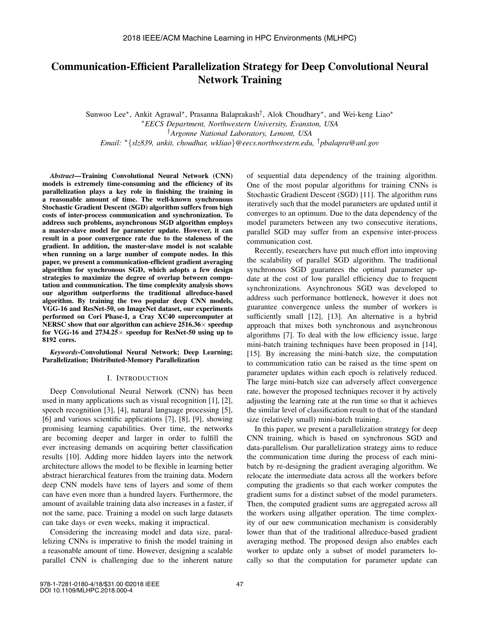# Communication-Efficient Parallelization Strategy for Deep Convolutional Neural Network Training

Sunwoo Lee<sup>∗</sup> , Ankit Agrawal<sup>∗</sup> , Prasanna Balaprakash† , Alok Choudhary<sup>∗</sup> , and Wei-keng Liao<sup>∗</sup> <sup>∗</sup>*EECS Department, Northwestern University, Evanston, USA* †*Argonne National Laboratory, Lemont, USA Email:* <sup>∗</sup>{*slz839, ankit, choudhar, wkliao*}*@eecs.northwestern.edu,* †*pbalapra@anl.gov*

*Abstract*—Training Convolutional Neural Network (CNN) models is extremely time-consuming and the efficiency of its parallelization plays a key role in finishing the training in a reasonable amount of time. The well-known synchronous Stochastic Gradient Descent (SGD) algorithm suffers from high costs of inter-process communication and synchronization. To address such problems, asynchronous SGD algorithm employs a master-slave model for parameter update. However, it can result in a poor convergence rate due to the staleness of the gradient. In addition, the master-slave model is not scalable when running on a large number of compute nodes. In this paper, we present a communication-efficient gradient averaging algorithm for synchronous SGD, which adopts a few design strategies to maximize the degree of overlap between computation and communication. The time complexity analysis shows our algorithm outperforms the traditional allreduce-based algorithm. By training the two popular deep CNN models, VGG-16 and ResNet-50, on ImageNet dataset, our experiments performed on Cori Phase-I, a Cray XC40 supercomputer at NERSC show that our algorithm can achieve  $2516.36\times$  speedup for VGG-16 and  $2734.25\times$  speedup for ResNet-50 using up to 8192 cores.

*Keywords*-Convolutional Neural Network; Deep Learning; Parallelization; Distributed-Memory Parallelization

#### I. INTRODUCTION

Deep Convolutional Neural Network (CNN) has been used in many applications such as visual recognition [1], [2], speech recognition [3], [4], natural language processing [5], [6] and various scientific applications [7], [8], [9], showing promising learning capabilities. Over time, the networks are becoming deeper and larger in order to fulfill the ever increasing demands on acquiring better classification results [10]. Adding more hidden layers into the network architecture allows the model to be flexible in learning better abstract hierarchical features from the training data. Modern deep CNN models have tens of layers and some of them can have even more than a hundred layers. Furthermore, the amount of available training data also increases in a faster, if not the same, pace. Training a model on such large datasets can take days or even weeks, making it impractical.

Considering the increasing model and data size, parallelizing CNNs is imperative to finish the model training in a reasonable amount of time. However, designing a scalable parallel CNN is challenging due to the inherent nature of sequential data dependency of the training algorithm. One of the most popular algorithms for training CNNs is Stochastic Gradient Descent (SGD) [11]. The algorithm runs iteratively such that the model parameters are updated until it converges to an optimum. Due to the data dependency of the model parameters between any two consecutive iterations, parallel SGD may suffer from an expensive inter-process communication cost.

Recently, researchers have put much effort into improving the scalability of parallel SGD algorithm. The traditional synchronous SGD guarantees the optimal parameter update at the cost of low parallel efficiency due to frequent synchronizations. Asynchronous SGD was developed to address such performance bottleneck, however it does not guarantee convergence unless the number of workers is sufficiently small [12], [13]. An alternative is a hybrid approach that mixes both synchronous and asynchronous algorithms [7]. To deal with the low efficiency issue, large mini-batch training techniques have been proposed in [14], [15]. By increasing the mini-batch size, the computation to communication ratio can be raised as the time spent on parameter updates within each epoch is relatively reduced. The large mini-batch size can adversely affect convergence rate, however the proposed techniques recover it by actively adjusting the learning rate at the run time so that it achieves the similar level of classification result to that of the standard size (relatively small) mini-batch training.

In this paper, we present a parallelization strategy for deep CNN training, which is based on synchronous SGD and data-parallelism. Our parallelization strategy aims to reduce the communication time during the process of each minibatch by re-designing the gradient averaging algorithm. We relocate the intermediate data across all the workers before computing the gradients so that each worker computes the gradient sums for a distinct subset of the model parameters. Then, the computed gradient sums are aggregated across all the workers using allgather operation. The time complexity of our new communication mechanism is considerably lower than that of the traditional allreduce-based gradient averaging method. The proposed design also enables each worker to update only a subset of model parameters locally so that the computation for parameter update can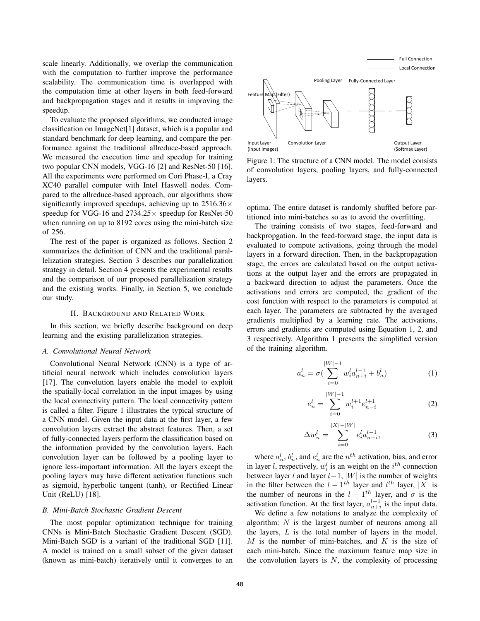scale linearly. Additionally, we overlap the communication with the computation to further improve the performance scalability. The communication time is overlapped with the computation time at other layers in both feed-forward and backpropagation stages and it results in improving the speedup.

To evaluate the proposed algorithms, we conducted image classification on ImageNet[1] dataset, which is a popular and standard benchmark for deep learning, and compare the performance against the traditional allreduce-based approach. We measured the execution time and speedup for training two popular CNN models, VGG-16 [2] and ResNet-50 [16]. All the experiments were performed on Cori Phase-I, a Cray XC40 parallel computer with Intel Haswell nodes. Compared to the allreduce-based approach, our algorithms show significantly improved speedups, achieving up to  $2516.36\times$ speedup for VGG-16 and  $2734.25 \times$  speedup for ResNet-50 when running on up to 8192 cores using the mini-batch size of 256.

The rest of the paper is organized as follows. Section 2 summarizes the definition of CNN and the traditional parallelization strategies. Section 3 describes our parallelization strategy in detail. Section 4 presents the experimental results and the comparison of our proposed parallelization strategy and the existing works. Finally, in Section 5, we conclude our study.

#### II. BACKGROUND AND RELATED WORK

In this section, we briefly describe background on deep learning and the existing parallelization strategies.

#### *A. Convolutional Neural Network*

Convolutional Neural Network (CNN) is a type of artificial neural network which includes convolution layers [17]. The convolution layers enable the model to exploit the spatially-local correlation in the input images by using the local connectivity pattern. The local connectivity pattern is called a filter. Figure 1 illustrates the typical structure of a CNN model. Given the input data at the first layer, a few convolution layers extract the abstract features. Then, a set of fully-connected layers perform the classification based on the information provided by the convolution layers. Each convolution layer can be followed by a pooling layer to ignore less-important information. All the layers except the pooling layers may have different activation functions such as sigmoid, hyperbolic tangent (tanh), or Rectified Linear Unit (ReLU) [18].

### *B. Mini-Batch Stochastic Gradient Descent*

The most popular optimization technique for training CNNs is Mini-Batch Stochastic Gradient Descent (SGD). Mini-Batch SGD is a variant of the traditional SGD [11]. A model is trained on a small subset of the given dataset (known as mini-batch) iteratively until it converges to an



Figure 1: The structure of a CNN model. The model consists of convolution layers, pooling layers, and fully-connected layers.

optima. The entire dataset is randomly shuffled before partitioned into mini-batches so as to avoid the overfitting.

The training consists of two stages, feed-forward and backpropgation. In the feed-forward stage, the input data is evaluated to compute activations, going through the model layers in a forward direction. Then, in the backpropagation stage, the errors are calculated based on the output activations at the output layer and the errors are propagated in a backward direction to adjust the parameters. Once the activations and errors are computed, the gradient of the cost function with respect to the parameters is computed at each layer. The parameters are subtracted by the averaged gradients multiplied by a learning rate. The activations, errors and gradients are computed using Equation 1, 2, and 3 respectively. Algorithm 1 presents the simplified version of the training algorithm.

$$
a_n^l = \sigma \left( \sum_{i=0}^{|W|-1} w_i^l a_{n+i}^{l-1} + b_n^l \right) \tag{1}
$$

$$
e_n^l = \sum_{i=0}^{|W|-1} w_i^{l+1} e_{n-i}^{l+1}
$$
 (2)

$$
\Delta w_n^l = \sum_{i=0}^{|X| - |W|} e_i^l a_{n+i}^{l-1},\tag{3}
$$

where  $a_n^l$ ,  $b_n^l$ , and  $e_n^l$  are the  $n^{th}$  activation, bias, and error in layer *l*, respectively,  $w_i^l$  is an weight on the  $i^{th}$  connection between layer l and layer  $l-1$ ,  $|W|$  is the number of weights in the filter between the  $l - 1$ <sup>th</sup> layer and  $l$ <sup>th</sup> layer, |X| is the number of neurons in the  $l - 1$ <sup>th</sup> layer, and  $\sigma$  is the activation function. At the first layer,  $a_{n+i}^{l-1}$  is the input data.

We define a few notations to analyze the complexity of algorithm: N is the largest number of neurons among all the layers, L is the total number of layers in the model, M is the number of mini-batches, and  $K$  is the size of each mini-batch. Since the maximum feature map size in the convolution layers is  $N$ , the complexity of processing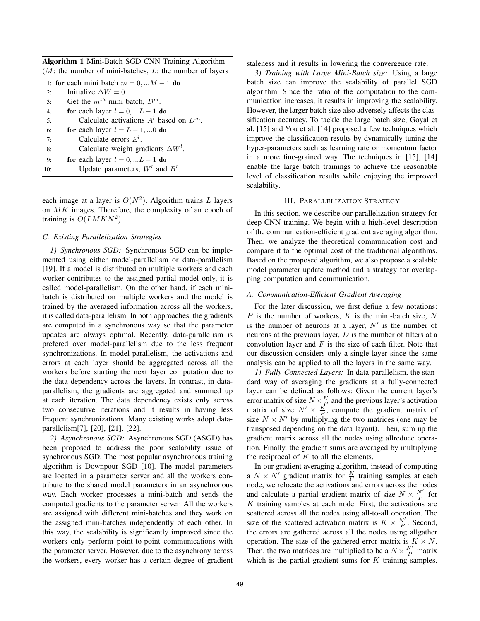Algorithm 1 Mini-Batch SGD CNN Training Algorithm  $(M:$  the number of mini-batches,  $L:$  the number of layers

| 1: for each mini batch $m = 0, \dots M - 1$ do |                                            |  |  |
|------------------------------------------------|--------------------------------------------|--|--|
| 2:                                             | Initialize $\Delta W = 0$                  |  |  |
| 3:                                             | Get the $m^{th}$ mini batch, $D^m$ .       |  |  |
| 4:                                             | for each layer $l = 0, \ldots L - 1$ do    |  |  |
| 5:                                             | Calculate activations $Al$ based on $Dm$ . |  |  |
| 6:                                             | for each layer $l = L - 1, 0$ do           |  |  |
| 7:                                             | Calculate errors $E^l$ .                   |  |  |
| 8:                                             | Calculate weight gradients $\Delta W^l$ .  |  |  |
| 9:                                             | for each layer $l = 0, \ldots L - 1$ do    |  |  |
| 10:                                            | Update parameters, $Wl$ and $Bl$ .         |  |  |

each image at a layer is  $O(N^2)$ . Algorithm trains L layers on MK images. Therefore, the complexity of an epoch of training is  $O(LMKN^2)$ .

## *C. Existing Parallelization Strategies*

*1) Synchronous SGD:* Synchronous SGD can be implemented using either model-parallelism or data-parallelism [19]. If a model is distributed on multiple workers and each worker contributes to the assigned partial model only, it is called model-parallelism. On the other hand, if each minibatch is distributed on multiple workers and the model is trained by the averaged information across all the workers, it is called data-parallelism. In both approaches, the gradients are computed in a synchronous way so that the parameter updates are always optimal. Recently, data-parallelism is prefered over model-parallelism due to the less frequent synchronizations. In model-parallelism, the activations and errors at each layer should be aggregated across all the workers before starting the next layer computation due to the data dependency across the layers. In contrast, in dataparallelism, the gradients are aggregated and summed up at each iteration. The data dependency exists only across two consecutive iterations and it results in having less frequent synchronizations. Many existing works adopt dataparallelism[7], [20], [21], [22].

*2) Asynchronous SGD:* Asynchronous SGD (ASGD) has been proposed to address the poor scalability issue of synchronous SGD. The most popular asynchronous training algorithm is Downpour SGD [10]. The model parameters are located in a parameter server and all the workers contribute to the shared model parameters in an asynchronous way. Each worker processes a mini-batch and sends the computed gradients to the parameter server. All the workers are assigned with different mini-batches and they work on the assigned mini-batches independently of each other. In this way, the scalability is significantly improved since the workers only perform point-to-point communications with the parameter server. However, due to the asynchrony across the workers, every worker has a certain degree of gradient staleness and it results in lowering the convergence rate.

*3) Training with Large Mini-Batch size:* Using a large batch size can improve the scalability of parallel SGD algorithm. Since the ratio of the computation to the communication increases, it results in improving the scalability. However, the larger batch size also adversely affects the classification accuracy. To tackle the large batch size, Goyal et al. [15] and You et al. [14] proposed a few techniques which improve the classification results by dynamically tuning the hyper-parameters such as learning rate or momentum factor in a more fine-grained way. The techniques in [15], [14] enable the large batch trainings to achieve the reasonable level of classification results while enjoying the improved scalability.

#### III. PARALLELIZATION STRATEGY

In this section, we describe our parallelization strategy for deep CNN training. We begin with a high-level description of the communication-efficient gradient averaging algorithm. Then, we analyze the theoretical communication cost and compare it to the optimal cost of the traditional algorithms. Based on the proposed algorithm, we also propose a scalable model parameter update method and a strategy for overlapping computation and communication.

### *A. Communication-Efficient Gradient Averaging*

For the later discussion, we first define a few notations:  $P$  is the number of workers,  $K$  is the mini-batch size,  $N$ is the number of neurons at a layer,  $N'$  is the number of neurons at the previous layer,  $D$  is the number of filters at a convolution layer and  $F$  is the size of each filter. Note that our discussion considers only a single layer since the same analysis can be applied to all the layers in the same way.

*1) Fully-Connected Layers:* In data-parallelism, the standard way of averaging the gradients at a fully-connected layer can be defined as follows: Given the current layer's error matrix of size  $N \times \frac{K}{L}$  and the previous layer's activation matrix of size  $N' \times \frac{K}{P}$ , compute the gradient matrix of size  $N \times N'$  by multiplying the two matrices (one may be transposed depending on the data layout). Then, sum up the gradient matrix across all the nodes using allreduce operation. Finally, the gradient sums are averaged by multiplying the reciprocal of  $K$  to all the elements.

In our gradient averaging algorithm, instead of computing a  $N \times N'$  gradient matrix for  $\frac{K}{P}$  training samples at each node, we relocate the activations and errors across the nodes and calculate a partial gradient matrix of size  $N \times \frac{N'}{P}$  for  $K$  training samples at each node. First, the activations are scattered across all the nodes using all-to-all operation. The size of the scattered activation matrix is  $K \times \frac{N'}{P}$ . Second, the errors are gathered across all the nodes using allgather operation. The size of the gathered error matrix is  $K \times N$ . Then, the two matrices are multiplied to be a  $N \times \frac{N'}{P}$  matrix which is the partial gradient sums for  $K$  training samples.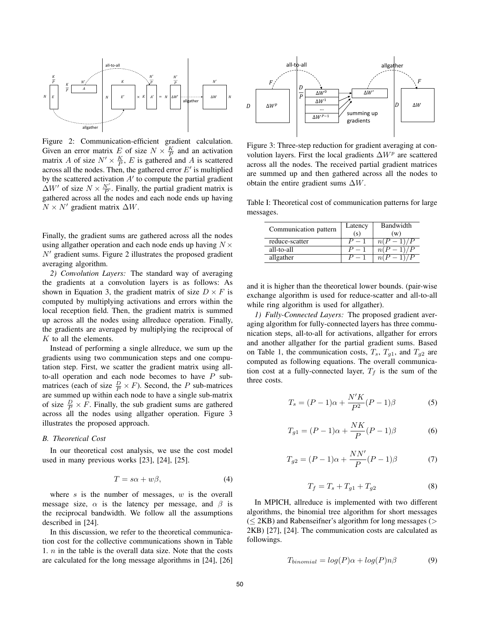

Figure 2: Communication-efficient gradient calculation. Given an error matrix E of size  $N \times \frac{K}{P}$  and an activation matrix A of size  $N' \times \frac{K}{P}$ , E is gathered and A is scattered across all the nodes. Then, the gathered error  $E'$  is multiplied by the scattered activation  $A'$  to compute the partial gradient  $\Delta W'$  of size  $N \times \frac{N'}{P}$ . Finally, the partial gradient matrix is gathered across all the nodes and each node ends up having  $N \times N'$  gradient matrix  $\Delta W$ .

Finally, the gradient sums are gathered across all the nodes using allgather operation and each node ends up having  $N \times$  $N'$  gradient sums. Figure 2 illustrates the proposed gradient averaging algorithm.

*2) Convolution Layers:* The standard way of averaging the gradients at a convolution layers is as follows: As shown in Equation 3, the gradient matrix of size  $D \times F$  is computed by multiplying activations and errors within the local reception field. Then, the gradient matrix is summed up across all the nodes using allreduce operation. Finally, the gradients are averaged by multiplying the reciprocal of K to all the elements.

Instead of performing a single allreduce, we sum up the gradients using two communication steps and one computation step. First, we scatter the gradient matrix using allto-all operation and each node becomes to have  $P$  submatrices (each of size  $\frac{D}{P} \times F$ ). Second, the P sub-matrices are summed up within each node to have a single sub-matrix of size  $\frac{D}{P} \times F$ . Finally, the sub-gradient sums are gathered across all the nodes using allgather operation. Figure 3 illustrates the proposed approach.

## *B. Theoretical Cost*

In our theoretical cost analysis, we use the cost model used in many previous works [23], [24], [25].

$$
T = s\alpha + w\beta, \tag{4}
$$

where s is the number of messages,  $w$  is the overall message size,  $\alpha$  is the latency per message, and  $\beta$  is the reciprocal bandwidth. We follow all the assumptions described in [24].

In this discussion, we refer to the theoretical communication cost for the collective communications shown in Table 1.  $n$  in the table is the overall data size. Note that the costs are calculated for the long message algorithms in [24], [26]



Figure 3: Three-step reduction for gradient averaging at convolution layers. First the local gradients  $\Delta W^p$  are scattered across all the nodes. The received partial gradient matrices are summed up and then gathered across all the nodes to obtain the entire gradient sums  $\Delta W$ .

Table I: Theoretical cost of communication patterns for large messages.

| Communication pattern | Latency<br>(s) | Bandwidth<br>(w) |
|-----------------------|----------------|------------------|
| reduce-scatter        | $P = 1$        | n(<br>$-1$       |
| all-to-all            | $P = 1$        |                  |
| allgather             |                |                  |

and it is higher than the theoretical lower bounds. (pair-wise exchange algorithm is used for reduce-scatter and all-to-all while ring algorithm is used for allgather).

*1) Fully-Connected Layers:* The proposed gradient averaging algorithm for fully-connected layers has three communication steps, all-to-all for activations, allgather for errors and another allgather for the partial gradient sums. Based on Table 1, the communication costs,  $T_s$ ,  $T_{g1}$ , and  $T_{g2}$  are computed as following equations. The overall communication cost at a fully-connected layer,  $T_f$  is the sum of the three costs.

$$
T_s = (P - 1)\alpha + \frac{N'K}{P^2}(P - 1)\beta
$$
 (5)

$$
T_{g1} = (P - 1)\alpha + \frac{NK}{P}(P - 1)\beta
$$
 (6)

$$
T_{g2} = (P - 1)\alpha + \frac{NN'}{P}(P - 1)\beta
$$
 (7)

$$
T_f = T_s + T_{g1} + T_{g2} \tag{8}
$$

In MPICH, allreduce is implemented with two different algorithms, the binomial tree algorithm for short messages  $( $\leq$  2KB)$  and Rabenseifner's algorithm for long messages ( $>$ 2KB) [27], [24]. The communication costs are calculated as followings.

$$
T_{binomial} = log(P)\alpha + log(P)n\beta
$$
\n(9)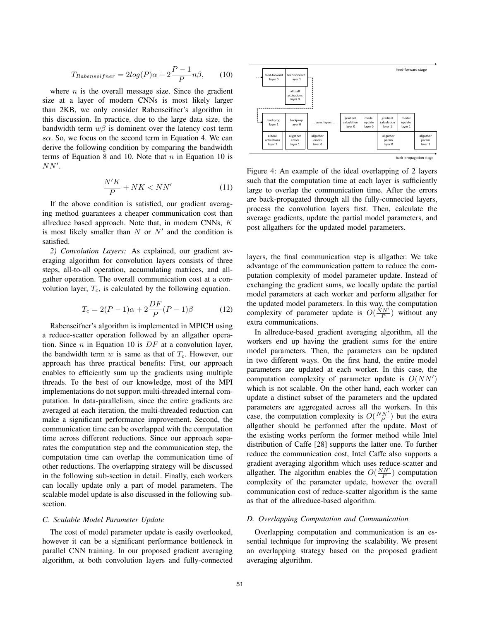$$
T_{Rabenseifner} = 2log(P)\alpha + 2\frac{P-1}{P}n\beta, \qquad (10)
$$

where  $n$  is the overall message size. Since the gradient size at a layer of modern CNNs is most likely larger than 2KB, we only consider Rabenseifner's algorithm in this discussion. In practice, due to the large data size, the bandwidth term  $w\beta$  is dominent over the latency cost term  $s\alpha$ . So, we focus on the second term in Equation 4. We can derive the following condition by comparing the bandwidth terms of Equation 8 and 10. Note that  $n$  in Equation 10 is  $NN^{\prime}$ .

$$
\frac{N'K}{P} + NK < NN'
$$
\n(11)

If the above condition is satisfied, our gradient averaging method guarantees a cheaper communication cost than allreduce based approach. Note that, in modern CNNs, K is most likely smaller than  $N$  or  $N'$  and the condition is satisfied.

*2) Convolution Layers:* As explained, our gradient averaging algorithm for convolution layers consists of three steps, all-to-all operation, accumulating matrices, and allgather operation. The overall communication cost at a convolution layer,  $T_c$ , is calculated by the following equation.

$$
T_c = 2(P - 1)\alpha + 2\frac{DF}{P}(P - 1)\beta
$$
 (12)

Rabenseifner's algorithm is implemented in MPICH using a reduce-scatter operation followed by an allgather operation. Since  $n$  in Equation 10 is  $DF$  at a convolution layer, the bandwidth term  $w$  is same as that of  $T_c$ . However, our approach has three practical benefits: First, our approach enables to efficiently sum up the gradients using multiple threads. To the best of our knowledge, most of the MPI implementations do not support multi-threaded internal computation. In data-parallelism, since the entire gradients are averaged at each iteration, the multi-threaded reduction can make a significant performance improvement. Second, the communication time can be overlapped with the computation time across different reductions. Since our approach separates the computation step and the communication step, the computation time can overlap the communication time of other reductions. The overlapping strategy will be discussed in the following sub-section in detail. Finally, each workers can locally update only a part of model parameters. The scalable model update is also discussed in the following subsection.

#### *C. Scalable Model Parameter Update*

The cost of model parameter update is easily overlooked, however it can be a significant performance bottleneck in parallel CNN training. In our proposed gradient averaging algorithm, at both convolution layers and fully-connected



Figure 4: An example of the ideal overlapping of 2 layers such that the computation time at each layer is sufficiently large to overlap the communication time. After the errors are back-propagated through all the fully-connected layers, process the convolution layers first. Then, calculate the average gradients, update the partial model parameters, and post allgathers for the updated model parameters.

layers, the final communication step is allgather. We take advantage of the communication pattern to reduce the computation complexity of model parameter update. Instead of exchanging the gradient sums, we locally update the partial model parameters at each worker and perform allgather for the updated model parameters. In this way, the computation complexity of parameter update is  $O(\frac{NN'}{P})$  without any extra communications.

In allreduce-based gradient averaging algorithm, all the workers end up having the gradient sums for the entire model parameters. Then, the parameters can be updated in two different ways. On the first hand, the entire model parameters are updated at each worker. In this case, the computation complexity of parameter update is  $O(NN')$ which is not scalable. On the other hand, each worker can update a distinct subset of the parameters and the updated parameters are aggregated across all the workers. In this case, the computation complexity is  $O(\frac{NN'}{P})$  but the extra allgather should be performed after the update. Most of the existing works perform the former method while Intel distribution of Caffe [28] supports the latter one. To further reduce the communication cost, Intel Caffe also supports a gradient averaging algorithm which uses reduce-scatter and allgather. The algorithm enables the  $O(\frac{NN'}{P})$  computation complexity of the parameter update, however the overall communication cost of reduce-scatter algorithm is the same as that of the allreduce-based algorithm.

#### *D. Overlapping Computation and Communication*

Overlapping computation and communication is an essential technique for improving the scalability. We present an overlapping strategy based on the proposed gradient averaging algorithm.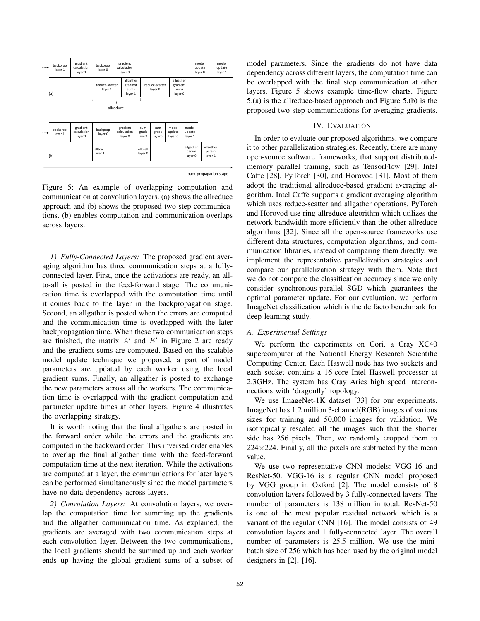

Figure 5: An example of overlapping computation and communication at convolution layers. (a) shows the allreduce approach and (b) shows the proposed two-step communications. (b) enables computation and communication overlaps across layers.

*1) Fully-Connected Layers:* The proposed gradient averaging algorithm has three communication steps at a fullyconnected layer. First, once the activations are ready, an allto-all is posted in the feed-forward stage. The communication time is overlapped with the computation time until it comes back to the layer in the backpropagation stage. Second, an allgather is posted when the errors are computed and the communication time is overlapped with the later backpropagation time. When these two communication steps are finished, the matrix  $A'$  and  $E'$  in Figure 2 are ready and the gradient sums are computed. Based on the scalable model update technique we proposed, a part of model parameters are updated by each worker using the local gradient sums. Finally, an allgather is posted to exchange the new parameters across all the workers. The communication time is overlapped with the gradient computation and parameter update times at other layers. Figure 4 illustrates the overlapping strategy.

It is worth noting that the final allgathers are posted in the forward order while the errors and the gradients are computed in the backward order. This inversed order enables to overlap the final allgather time with the feed-forward computation time at the next iteration. While the activations are computed at a layer, the communications for later layers can be performed simultaneously since the model parameters have no data dependency across layers.

*2) Convolution Layers:* At convolution layers, we overlap the computation time for summing up the gradients and the allgather communication time. As explained, the gradients are averaged with two communication steps at each convolution layer. Between the two communications, the local gradients should be summed up and each worker ends up having the global gradient sums of a subset of model parameters. Since the gradients do not have data dependency across different layers, the computation time can be overlapped with the final step communication at other layers. Figure 5 shows example time-flow charts. Figure 5.(a) is the allreduce-based approach and Figure 5.(b) is the proposed two-step communications for averaging gradients.

## IV. EVALUATION

In order to evaluate our proposed algorithms, we compare it to other parallelization strategies. Recently, there are many open-source software frameworks, that support distributedmemory parallel training, such as TensorFlow [29], Intel Caffe [28], PyTorch [30], and Horovod [31]. Most of them adopt the traditional allreduce-based gradient averaging algorithm. Intel Caffe supports a gradient averaging algorithm which uses reduce-scatter and allgather operations. PyTorch and Horovod use ring-allreduce algorithm which utilizes the network bandwidth more efficiently than the other allreduce algorithms [32]. Since all the open-source frameworks use different data structures, computation algorithms, and communication libraries, instead of comparing them directly, we implement the representative parallelization strategies and compare our parallelization strategy with them. Note that we do not compare the classification accuracy since we only consider synchronous-parallel SGD which guarantees the optimal parameter update. For our evaluation, we perform ImageNet classification which is the de facto benchmark for deep learning study.

## *A. Experimental Settings*

We perform the experiments on Cori, a Cray XC40 supercomputer at the National Energy Research Scientific Computing Center. Each Haswell node has two sockets and each socket contains a 16-core Intel Haswell processor at 2.3GHz. The system has Cray Aries high speed interconnections with 'dragonfly' topology.

We use ImageNet-1K dataset [33] for our experiments. ImageNet has 1.2 million 3-channel(RGB) images of various sizes for training and 50,000 images for validation. We isotropically rescaled all the images such that the shorter side has 256 pixels. Then, we randomly cropped them to  $224\times224$ . Finally, all the pixels are subtracted by the mean value.

We use two representative CNN models: VGG-16 and ResNet-50. VGG-16 is a regular CNN model proposed by VGG group in Oxford [2]. The model consists of 8 convolution layers followed by 3 fully-connected layers. The number of parameters is 138 million in total. ResNet-50 is one of the most popular residual network which is a variant of the regular CNN [16]. The model consists of 49 convolution layers and 1 fully-connected layer. The overall number of parameters is 25.5 million. We use the minibatch size of 256 which has been used by the original model designers in [2], [16].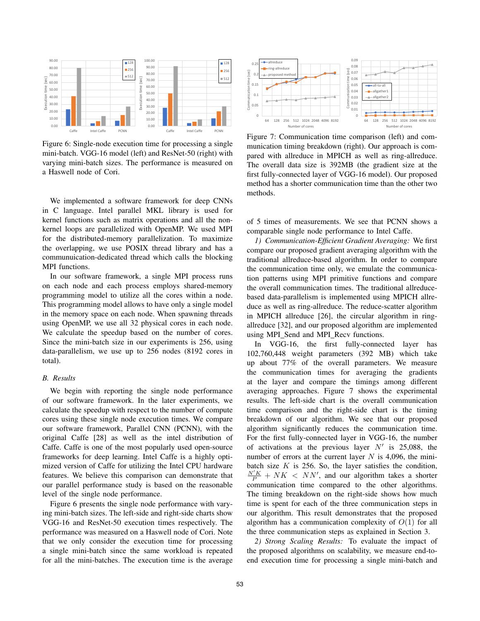

Figure 6: Single-node execution time for processing a single mini-batch. VGG-16 model (left) and ResNet-50 (right) with varying mini-batch sizes. The performance is measured on a Haswell node of Cori.

We implemented a software framework for deep CNNs in C language. Intel parallel MKL library is used for kernel functions such as matrix operations and all the nonkernel loops are parallelized with OpenMP. We used MPI for the distributed-memory parallelization. To maximize the overlapping, we use POSIX thread library and has a communuication-dedicated thread which calls the blocking MPI functions.

In our software framework, a single MPI process runs on each node and each process employs shared-memory programming model to utilize all the cores within a node. This programming model allows to have only a single model in the memory space on each node. When spawning threads using OpenMP, we use all 32 physical cores in each node. We calculate the speedup based on the number of cores. Since the mini-batch size in our experiments is 256, using data-parallelism, we use up to 256 nodes (8192 cores in total).

#### *B. Results*

We begin with reporting the single node performance of our software framework. In the later experiments, we calculate the speedup with respect to the number of compute cores using these single node execution times. We compare our software framework, Parallel CNN (PCNN), with the original Caffe [28] as well as the intel distribution of Caffe. Caffe is one of the most popularly used open-source frameworks for deep learning. Intel Caffe is a highly optimized version of Caffe for utilizing the Intel CPU hardware features. We believe this comparison can demonstrate that our parallel performance study is based on the reasonable level of the single node performance.

Figure 6 presents the single node performance with varying mini-batch sizes. The left-side and right-side charts show VGG-16 and ResNet-50 execution times respectively. The performance was measured on a Haswell node of Cori. Note that we only consider the execution time for processing a single mini-batch since the same workload is repeated for all the mini-batches. The execution time is the average



Figure 7: Communication time comparison (left) and communication timing breakdown (right). Our approach is compared with allreduce in MPICH as well as ring-allreduce. The overall data size is 392MB (the gradient size at the first fully-connected layer of VGG-16 model). Our proposed method has a shorter communication time than the other two methods.

of 5 times of measurements. We see that PCNN shows a comparable single node performance to Intel Caffe.

*1) Communication-Efficient Gradient Averaging:* We first compare our proposed gradient averaging algorithm with the traditional allreduce-based algorithm. In order to compare the communication time only, we emulate the communication patterns using MPI primitive functions and compare the overall communication times. The traditional allreducebased data-parallelism is implemented using MPICH allreduce as well as ring-allreduce. The reduce-scatter algorithm in MPICH allreduce [26], the circular algorithm in ringallreduce [32], and our proposed algorithm are implemented using MPI\_Send and MPI\_Recv functions.

In VGG-16, the first fully-connected layer has 102,760,448 weight parameters (392 MB) which take up about 77% of the overall parameters. We measure the communication times for averaging the gradients at the layer and compare the timings among different averaging approaches. Figure 7 shows the experimental results. The left-side chart is the overall communication time comparison and the right-side chart is the timing breakdown of our algorithm. We see that our proposed algorithm significantly reduces the communication time. For the first fully-connected layer in VGG-16, the number of activations at the previous layer  $N'$  is 25,088, the number of errors at the current layer  $N$  is 4,096, the minibatch size  $K$  is 256. So, the layer satisfies the condition,  $\frac{N'K}{P} + NK < NN'$ , and our algorithm takes a shorter communication time compared to the other algorithms. The timing breakdown on the right-side shows how much time is spent for each of the three communication steps in our algorithm. This result demonstrates that the proposed algorithm has a communication complexity of  $O(1)$  for all the three communication steps as explained in Section 3.

*2) Strong Scaling Results:* To evaluate the impact of the proposed algorithms on scalability, we measure end-toend execution time for processing a single mini-batch and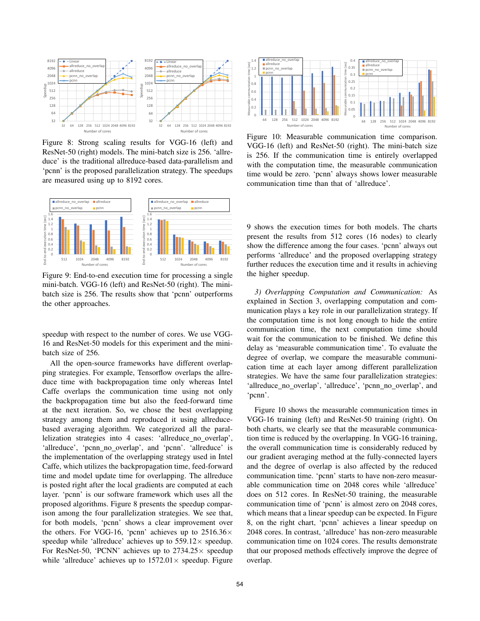

Figure 8: Strong scaling results for VGG-16 (left) and ResNet-50 (right) models. The mini-batch size is 256. 'allreduce' is the traditional allreduce-based data-parallelism and 'pcnn' is the proposed parallelization strategy. The speedups are measured using up to 8192 cores.



Figure 9: End-to-end execution time for processing a single mini-batch. VGG-16 (left) and ResNet-50 (right). The minibatch size is 256. The results show that 'pcnn' outperforms the other approaches.

speedup with respect to the number of cores. We use VGG-16 and ResNet-50 models for this experiment and the minibatch size of 256.

All the open-source frameworks have different overlapping strategies. For example, Tensorflow overlaps the allreduce time with backpropagation time only whereas Intel Caffe overlaps the communication time using not only the backpropagation time but also the feed-forward time at the next iteration. So, we chose the best overlapping strategy among them and reproduced it using allreducebased averaging algorithm. We categorized all the parallelization strategies into 4 cases: 'allreduce no overlap', 'allreduce', 'pcnn\_no\_overlap', and 'pcnn'. 'allreduce' is the implementation of the overlapping strategy used in Intel Caffe, which utilizes the backpropagation time, feed-forward time and model update time for overlapping. The allreduce is posted right after the local gradients are computed at each layer. 'pcnn' is our software framework which uses all the proposed algorithms. Figure 8 presents the speedup comparison among the four parallelization strategies. We see that, for both models, 'pcnn' shows a clear improvement over the others. For VGG-16, 'pcnn' achieves up to  $2516.36\times$ speedup while 'allreduce' achieves up to  $559.12 \times$  speedup. For ResNet-50, 'PCNN' achieves up to  $2734.25\times$  speedup while 'allreduce' achieves up to  $1572.01 \times$  speedup. Figure



Figure 10: Measurable communication time comparison. VGG-16 (left) and ResNet-50 (right). The mini-batch size is 256. If the communication time is entirely overlapped with the computation time, the measurable communication time would be zero. 'pcnn' always shows lower measurable communication time than that of 'allreduce'.

9 shows the execution times for both models. The charts present the results from 512 cores (16 nodes) to clearly show the difference among the four cases. 'pcnn' always out performs 'allreduce' and the proposed overlapping strategy further reduces the execution time and it results in achieving the higher speedup.

*3) Overlapping Computation and Communication:* As explained in Section 3, overlapping computation and communication plays a key role in our parallelization strategy. If the computation time is not long enough to hide the entire communication time, the next computation time should wait for the communication to be finished. We define this delay as 'measurable communication time'. To evaluate the degree of overlap, we compare the measurable communication time at each layer among different parallelization strategies. We have the same four parallelization strategies: 'allreduce\_no\_overlap', 'allreduce', 'pcnn\_no\_overlap', and 'pcnn'.

Figure 10 shows the measurable communication times in VGG-16 training (left) and ResNet-50 training (right). On both charts, we clearly see that the measurable communication time is reduced by the overlapping. In VGG-16 training, the overall communication time is considerably reduced by our gradient averaging method at the fully-connected layers and the degree of overlap is also affected by the reduced communication time. 'pcnn' starts to have non-zero measurable communication time on 2048 cores while 'allreduce' does on 512 cores. In ResNet-50 training, the measurable communication time of 'pcnn' is almost zero on 2048 cores, which means that a linear speedup can be expected. In Figure 8, on the right chart, 'pcnn' achieves a linear speedup on 2048 cores. In contrast, 'allreduce' has non-zero measurable communication time on 1024 cores. The results demonstrate that our proposed methods effectively improve the degree of overlap.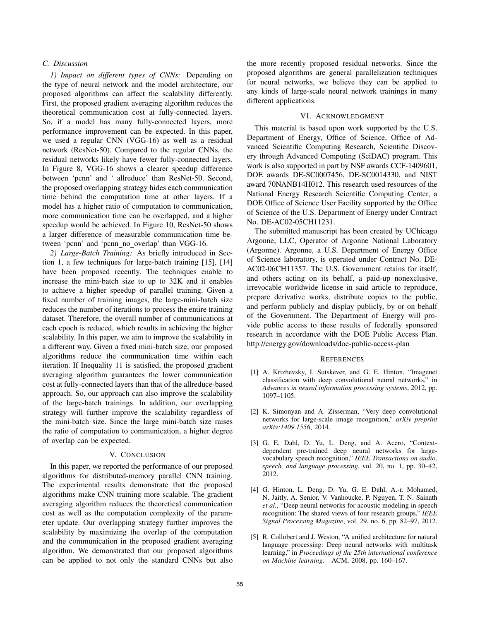## *C. Discussion*

*1) Impact on different types of CNNs:* Depending on the type of neural network and the model architecture, our proposed algorithms can affect the scalability differently. First, the proposed gradient averaging algorithm reduces the theoretical communication cost at fully-connected layers. So, if a model has many fully-connected layers, more performance improvement can be expected. In this paper, we used a regular CNN (VGG-16) as well as a residual network (ResNet-50). Compared to the regular CNNs, the residual networks likely have fewer fully-connected layers. In Figure 8, VGG-16 shows a clearer speedup difference between 'pcnn' and ' allreduce' than ResNet-50. Second, the proposed overlapping strategy hides each communication time behind the computation time at other layers. If a model has a higher ratio of computation to communication, more communication time can be overlapped, and a higher speedup would be achieved. In Figure 10, ResNet-50 shows a larger difference of measurable communication time between 'pcnn' and 'pcnn no overlap' than VGG-16.

*2) Large-Batch Training:* As briefly introduced in Section 1, a few techniques for large-batch training [15], [14] have been proposed recently. The techniques enable to increase the mini-batch size to up to 32K and it enables to achieve a higher speedup of parallel training. Given a fixed number of training images, the large-mini-batch size reduces the number of iterations to process the entire training dataset. Therefore, the overall number of communications at each epoch is reduced, which results in achieving the higher scalability. In this paper, we aim to improve the scalability in a different way. Given a fixed mini-batch size, our proposed algorithms reduce the communication time within each iteration. If Inequality 11 is satisfied, the proposed gradient averaging algorithm guarantees the lower communication cost at fully-connected layers than that of the allreduce-based approach. So, our approach can also improve the scalability of the large-batch trainings. In addition, our overlapping strategy will further improve the scalability regardless of the mini-batch size. Since the large mini-batch size raises the ratio of computation to communication, a higher degree of overlap can be expected.

## V. CONCLUSION

In this paper, we reported the performance of our proposed algorithms for distributed-memory parallel CNN training. The experimental results demonstrate that the proposed algorithms make CNN training more scalable. The gradient averaging algorithm reduces the theoretical communication cost as well as the computation complexity of the parameter update. Our overlapping strategy further improves the scalability by maximizing the overlap of the computation and the communication in the proposed gradient averaging algorithm. We demonstrated that our proposed algorithms can be applied to not only the standard CNNs but also the more recently proposed residual networks. Since the proposed algorithms are general parallelization techniques for neural networks, we believe they can be applied to any kinds of large-scale neural network trainings in many different applications.

## VI. ACKNOWLEDGMENT

This material is based upon work supported by the U.S. Department of Energy, Office of Science, Office of Advanced Scientific Computing Research, Scientific Discovery through Advanced Computing (SciDAC) program. This work is also supported in part by NSF awards CCF-1409601, DOE awards DE-SC0007456, DE-SC0014330, and NIST award 70NANB14H012. This research used resources of the National Energy Research Scientific Computing Center, a DOE Office of Science User Facility supported by the Office of Science of the U.S. Department of Energy under Contract No. DE-AC02-05CH11231.

The submitted manuscript has been created by UChicago Argonne, LLC, Operator of Argonne National Laboratory (Argonne). Argonne, a U.S. Department of Energy Office of Science laboratory, is operated under Contract No. DE-AC02-06CH11357. The U.S. Government retains for itself, and others acting on its behalf, a paid-up nonexclusive, irrevocable worldwide license in said article to reproduce, prepare derivative works, distribute copies to the public, and perform publicly and display publicly, by or on behalf of the Government. The Department of Energy will provide public access to these results of federally sponsored research in accordance with the DOE Public Access Plan. http://energy.gov/downloads/doe-public-access-plan

#### **REFERENCES**

- [1] A. Krizhevsky, I. Sutskever, and G. E. Hinton, "Imagenet classification with deep convolutional neural networks," in *Advances in neural information processing systems*, 2012, pp. 1097–1105.
- [2] K. Simonyan and A. Zisserman, "Very deep convolutional networks for large-scale image recognition," *arXiv preprint arXiv:1409.1556*, 2014.
- [3] G. E. Dahl, D. Yu, L. Deng, and A. Acero, "Contextdependent pre-trained deep neural networks for largevocabulary speech recognition," *IEEE Transactions on audio, speech, and language processing*, vol. 20, no. 1, pp. 30–42, 2012.
- [4] G. Hinton, L. Deng, D. Yu, G. E. Dahl, A.-r. Mohamed, N. Jaitly, A. Senior, V. Vanhoucke, P. Nguyen, T. N. Sainath *et al.*, "Deep neural networks for acoustic modeling in speech recognition: The shared views of four research groups," *IEEE Signal Processing Magazine*, vol. 29, no. 6, pp. 82–97, 2012.
- [5] R. Collobert and J. Weston, "A unified architecture for natural language processing: Deep neural networks with multitask learning," in *Proceedings of the 25th international conference on Machine learning*. ACM, 2008, pp. 160–167.